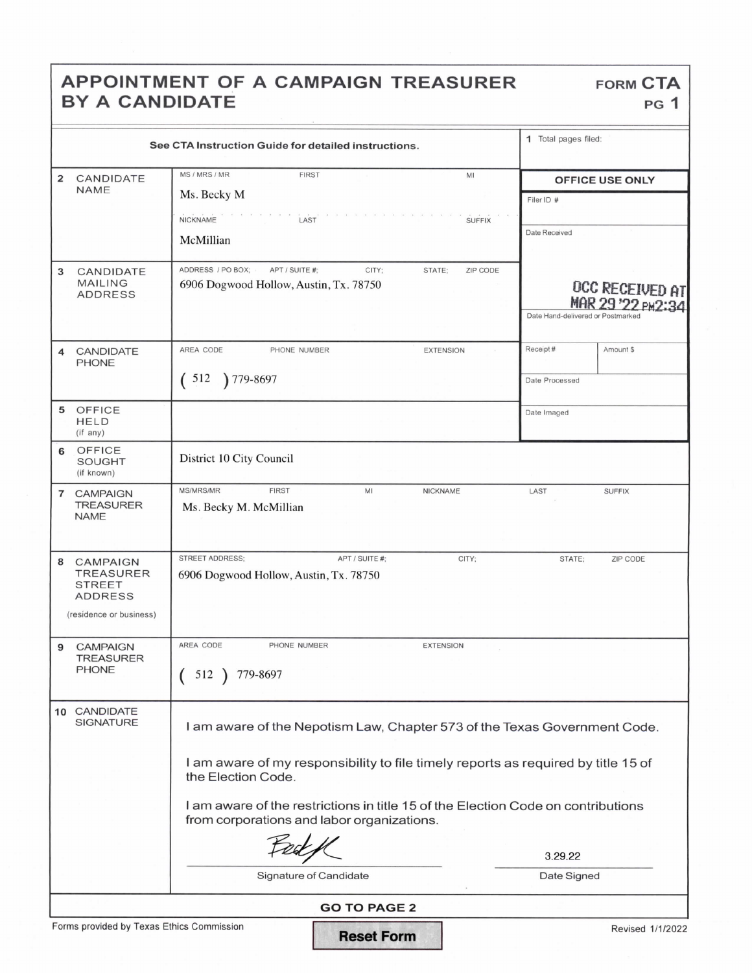## APPOINTMENT OF A CAMPAIGN TREASURER FORM CTA BY A CANDIDATE PG 1

|                                                                                                        | See CTA Instruction Guide for detailed instructions.                                                                                                                                 | 1 Total pages filed:              |                                             |
|--------------------------------------------------------------------------------------------------------|--------------------------------------------------------------------------------------------------------------------------------------------------------------------------------------|-----------------------------------|---------------------------------------------|
| CANDIDATE<br>2<br><b>NAME</b>                                                                          | MS / MRS / MR<br><b>FIRST</b><br>MI<br>Ms. Becky M                                                                                                                                   | Filer ID #                        | <b>OFFICE USE ONLY</b>                      |
|                                                                                                        | <b>NICKNAME</b><br>LAST<br><b>SUFFIX</b><br>McMillian                                                                                                                                | Date Received                     |                                             |
| 3<br>CANDIDATE<br><b>MAILING</b><br><b>ADDRESS</b>                                                     | ADDRESS / PO BOX;<br>APT / SUITE #:<br>CITY:<br>STATE;<br>ZIP CODE<br>6906 Dogwood Hollow, Austin, Tx. 78750                                                                         | Date Hand-delivered or Postmarked | <b>OCC RECEIVED AT</b><br>MAR 29 '22 PM2:34 |
| <b>CANDIDATE</b><br>4<br><b>PHONE</b>                                                                  | AREA CODE<br>PHONE NUMBER<br><b>EXTENSION</b><br>512<br>779-8697                                                                                                                     | Receipt#<br>Date Processed        | Amount \$                                   |
| <b>OFFICE</b><br>5<br><b>HELD</b><br>(if any)                                                          |                                                                                                                                                                                      | Date Imaged                       |                                             |
| OFFICE<br>6<br><b>SOUGHT</b><br>(if known)                                                             | District 10 City Council                                                                                                                                                             |                                   |                                             |
| <b>CAMPAIGN</b><br>7<br><b>TREASURER</b><br><b>NAME</b>                                                | MS/MRS/MR<br><b>FIRST</b><br>MI<br>NICKNAME<br>Ms. Becky M. McMillian                                                                                                                | LAST                              | <b>SUFFIX</b>                               |
| <b>CAMPAIGN</b><br>8<br><b>TREASURER</b><br><b>STREET</b><br><b>ADDRESS</b><br>(residence or business) | <b>STREET ADDRESS;</b><br>APT / SUITE #:<br>CITY;<br>6906 Dogwood Hollow, Austin, Tx. 78750                                                                                          | STATE;                            | ZIP CODE                                    |
| <b>CAMPAIGN</b><br>9<br><b>TREASURER</b><br><b>PHONE</b>                                               | AREA CODE<br>PHONE NUMBER<br><b>EXTENSION</b><br>512<br>779-8697                                                                                                                     |                                   |                                             |
| CANDIDATE<br>10<br><b>SIGNATURE</b>                                                                    | I am aware of the Nepotism Law, Chapter 573 of the Texas Government Code.<br>I am aware of my responsibility to file timely reports as required by title 15 of<br>the Election Code. |                                   |                                             |

<sup>I</sup> am aware of the restrictions in title 15 of the Election Code on contributions from corporations and labor organizations.

Feet / 3.29.22

Signature of Candidate **Date Signature of Candidate Date Signed** 

GO TO PAGE 2

 $6 \,$ 

 $10$